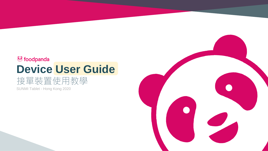# **5** foodpanda **Device User Guide**

# 接單裝置使用教學

SUNMI Tablet - Hong Kong 2020

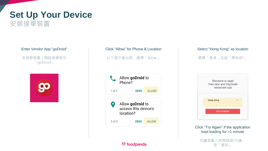## **Set Up Your Device**

安裝接單裝置

### Enter Vendor App "goDroid"

在接單裝置上開啟接單程式 「goDroid」







### Select "Hong Kong" as location 選擇「香港」並按「開始吧!」



#### Click "Try Again" if the application kept loading for >1 minute

如畫面載入時間超過1分鐘, 按「重試」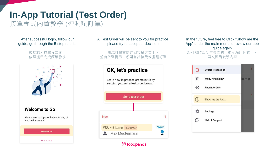## **In-App Tutorial (Test Order)** 接單程式內置教學 (連測試訂單)

After successful login, follow our guide, go through the 5-step tutorial

> 成功載入接單程式後, 依照提示完成簡單教學



#### A Test Order will be sent to you for practice, please try to accept or decline it

測試訂單會傳送到接單裝置上, 並有鈴聲提示,您可嘗試接受或拒絕訂單



*v* foodpanda

In the future, feel free to Click "Show me the App" under the main menu to review our app guide again 您可隨時回到主頁面的「顯示應用程式」, 再次觀看教學內容

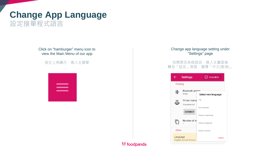## **Change App Language** 設定接單程式語言

Click on "hamburger" menu icon to view the Main Menu of our app

按左上角圖示,進入主選單

| ____                              |  |
|-----------------------------------|--|
| ____                              |  |
|                                   |  |
| <b>Contract Contract Contract</b> |  |
|                                   |  |
|                                   |  |
|                                   |  |
|                                   |  |

#### Change app language setting under "Settings" page

#### 如需更改系統語言,進入主畫面後 轉至「設定」頁面,選擇「中文(香港)」

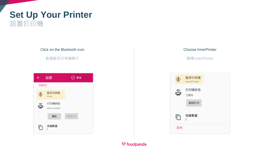## **Set Up Your Printer** 設置打印機

Click on the Bluetooth icon 點選藍芽印表機圖示 設置 ⊙營業  $\leftarrow$ 列印中 藍芽印表機 冰 None 打印機狀態  $\widehat{\mathbf{G}}$ Disconnected 連接 測試打印 收據數量  $\Box$ 

#### Choose InnerPrinter

選擇InnerPrinter

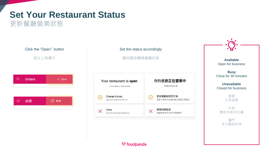# **Set Your Restaurant Status**

更新餐廳營業狀態

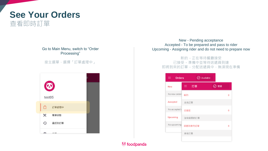

#### Go to Main Menu, switch to "Order Processing"

#### 按主選單,選擇「訂單處理中」



New - Pending acceptance Accepted - To be prepared and pass to rider Upcoming - Assigning rider and do not need to prepare now

#### 新的 - 正在等待餐廳接受 已接受 - 準備中並等待送遞員到達 即將到來的訂單 - 分配送遞員中,無須現在準備

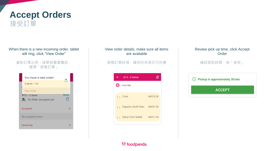

### **Accept Orders** 接受訂單

When there is a new incoming order, tablet will ring, click "View Order"

#### 當新訂單出現,接單裝置會響起, 選擇「查看訂單」

| You have a new order!                 |           |
|---------------------------------------|-----------|
| 2 items - 100                         |           |
| <b>View Order</b><br>$#12 - 2$ items  | New!<br>⋔ |
| No Rider assigned yet                 | $\Omega$  |
| <b>Accepted</b><br>No accepted orders |           |
| <b>Upcoming</b>                       | $\Omega$  |
|                                       |           |

#### View order details, make sure all items are available

#### 查閱訂單詳情,確保所有項目可供應

|    | #14 - 3 items                    |           |
|----|----------------------------------|-----------|
| O) | s1dz-f2jo                        |           |
|    | 1 x Coke                         | HK\$15.00 |
|    | 1 x Sapporo Draft Beer HK\$57.00 |           |
|    | 1 x Spicy Corn Salad HK\$17.00   |           |
|    |                                  |           |

#### Review pick up time, click Accept Order

#### 確認提取時間,按「接受」

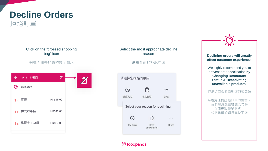A contractor of the contract of the contract of the contractor

## **Decline Orders** 拒絕訂單

|              |            | Click on the "crossed shopping<br>bag" icon |  |
|--------------|------------|---------------------------------------------|--|
|              |            | 選擇「刪去的購物袋」圖示                                |  |
| $\leftarrow$ | #16 - 3 項目 | Ø                                           |  |
| ∞            | s1dz-ag09  |                                             |  |
|              | 1 x 雪碧     | HK\$15.00                                   |  |
|              | 1 x 韓式炒年糕  | HK\$42.00                                   |  |
|              | 1 x 札幌手工啤酒 | HK\$57.00                                   |  |
|              |            |                                             |  |

#### Select the most appropriate decline reason

#### 選擇合適的拒絕原因

| 請選擇恐拒絶的原因       |                                  |       |
|-----------------|----------------------------------|-------|
|                 | ₿                                |       |
| 餐廳太忙            | 餐點售罄                             | 其他    |
|                 | Select your reason for declining |       |
|                 | Ĉ                                |       |
| <b>Too Busy</b> | Item<br>unavailable              | Other |
|                 |                                  |       |

**Declining orders will greatly affect customer experience.**

We highly recommend you to prevent order declination **by Changing Restaurant Status & Deactivating unavailable products.**

#### 拒絕訂單會嚴重影響顧客體驗

為避免任何拒絕訂單的機會, 我們建議您在餐廳太忙時 立即更改營業狀態, 並將售罄的項目盡快下架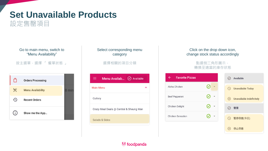## **Set Unavailable Products** 設定售罄項目



### Select corresponding menu category

選擇相關的項目分類

| Available<br>Menu Availab<br>$\omega$   |  |
|-----------------------------------------|--|
| <b>Main Menu</b>                        |  |
| Cutlery                                 |  |
| Crazy Meal Deals @ Central & Sheung Wan |  |
| Salads & Sides                          |  |
|                                         |  |

#### Click on the drop down icon, change stock status accordingly

#### 點選倒三角形圖示, 轉換至適當的庫存狀態

| $\leftarrow$<br><b>Favorite Pizzas</b> |                          | <b>Available</b><br>$(\checkmark)$                    |
|----------------------------------------|--------------------------|-------------------------------------------------------|
| Aloha Chicken                          |                          | <b>Unavailable Today</b><br>$\left(\mathsf{L}\right)$ |
| Beef Pepperoni                         |                          | <b>Unavailable Indefinitely</b><br>$(\times)$         |
| Chicken Delight                        | $\overline{\phantom{a}}$ | 營業<br>$(\vee)$                                        |
| <b>Chicken Sensation</b>               |                          | 暫停供應(今日)<br>$\left(\mathsf{L}\right)$                 |
|                                        |                          | 停止供應                                                  |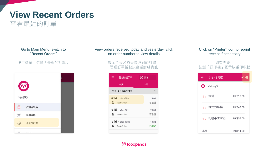## **View Recent Orders** 查看最近的訂單

Go to Main Menu, switch to "Recent Orders"

按主選單,選擇「最近的訂單」



#### View orders received today and yesterday, click on order number to view details

#### 顯示今天及昨天接收到的訂單, 點選訂單編號以查看詳細資訊

| 最近的訂單               | 營業    |
|---------------------|-------|
| 今天                  | 昨天    |
| 所有 - 3 (HK\$317.00) |       |
| $#14 - s1dz-f2j0$   | 23:00 |
| Test Order          | 已取消   |
| $#15 - s1dz - 6t11$ | 23:00 |
| Test Order          | 已取消   |
| $#16 - s1dz-aq09$   | 19:30 |
| Test Order          | 已接受   |

#### Click on "Printer" icon to reprint receipt if necessary

#### 如有需要, 點選「打印機」圖示以重印收據

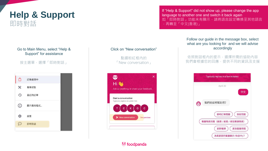### **Help & Support** 即時對話

#### Go to Main Menu, select "Help & Support" for assistance

按主選單,選擇「即時對話」

|          | 訂單處理中  |
|----------|--------|
| X        | 餐單狀態   |
| ⊕        | 最近的訂單  |
| ⊙        | 顯示應用程式 |
|          | 設置     |
| $\cdots$ | 即時對話   |
|          |        |

#### Click on "New conversation"

點選粉紅框內的 「New conversation」



If "Help & Support" did not show up, please change the app language to another one and switch it back again 如「即時對話」功能未有顯示,請將語言設定轉換至其他語言 ,再轉至「中文(香港)」

#### Follow our guide in the message box, select what are you looking for and we will advise accordingly

依照對話框內的提示,選擇所需的協助內容 我們會根據您的回應,提供不同的資訊及支援

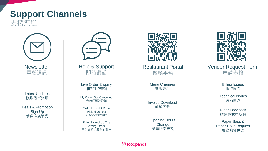### **Support Channels** 支援渠道



**Newsletter** 電郵通訊

Latest Updates 獲取最新資訊

Deals & Promotion Sign-Up 參與推廣活動



Help & Support 即時對話

Live Order Enquiry 即時訂單查詢

My Order Got Cancelled 我的訂單被取消

Order Has Not Been Picked Up Yet 訂單尚未被領取

Rider Picked Up The Wrong Order 車手提取了錯誤的訂單



Restaurant Portal 餐廳平台

> Menu Changes 餐牌更新

Invoice Download 帳單下載

Opening Hours **Change** 營業時間更改



Vendor Request Form 申請表格

> Billing Issues 帳單問題

Technical Issues 設備問題

Rider Feedback 送遞員意見反映

Paper Bags & Paper Rolls Request 餐廳物資供應